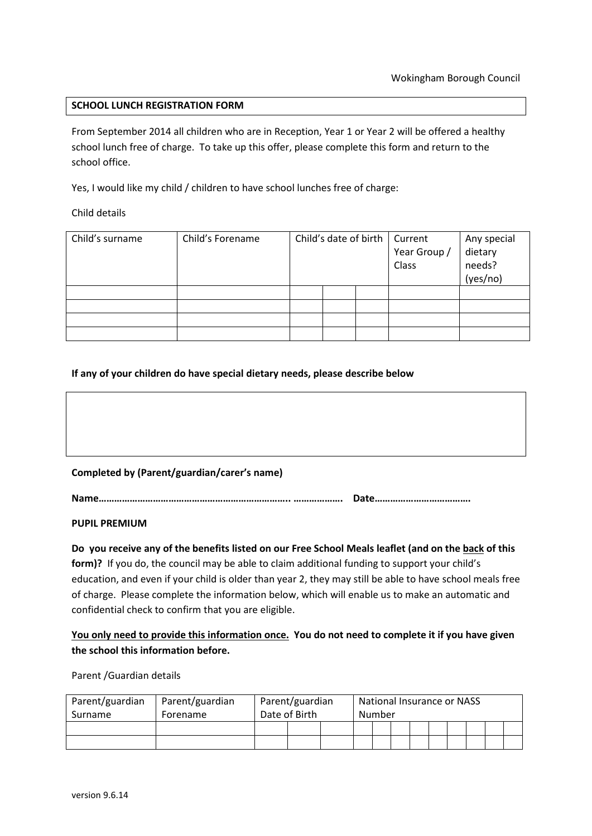# **SCHOOL LUNCH REGISTRATION FORM**

From September 2014 all children who are in Reception, Year 1 or Year 2 will be offered a healthy school lunch free of charge. To take up this offer, please complete this form and return to the school office.

Yes, I would like my child / children to have school lunches free of charge:

Child details

| Child's surname | Child's Forename | Child's date of birth |  |  | Current<br>Year Group /<br>Class | Any special<br>dietary<br>needs? |
|-----------------|------------------|-----------------------|--|--|----------------------------------|----------------------------------|
|                 |                  |                       |  |  |                                  | (yes/no)                         |
|                 |                  |                       |  |  |                                  |                                  |
|                 |                  |                       |  |  |                                  |                                  |
|                 |                  |                       |  |  |                                  |                                  |
|                 |                  |                       |  |  |                                  |                                  |

# **If any of your children do have special dietary needs, please describe below**

# **Completed by (Parent/guardian/carer's name)**

**Name……………………………………………………………….. ………………. Date……………………………….** 

**PUPIL PREMIUM** 

**Do you receive any of the benefits listed on our Free School Meals leaflet (and on the back of this form)?** If you do, the council may be able to claim additional funding to support your child's education, and even if your child is older than year 2, they may still be able to have school meals free of charge. Please complete the information below, which will enable us to make an automatic and confidential check to confirm that you are eligible.

# **You only need to provide this information once. You do not need to complete it if you have given the school this information before.**

Parent /Guardian details

| Parent/guardian | Parent/guardian | Parent/guardian |  |  | National Insurance or NASS |  |  |  |  |  |  |  |  |
|-----------------|-----------------|-----------------|--|--|----------------------------|--|--|--|--|--|--|--|--|
| Surname         | Forename        | Date of Birth   |  |  | Number                     |  |  |  |  |  |  |  |  |
|                 |                 |                 |  |  |                            |  |  |  |  |  |  |  |  |
|                 |                 |                 |  |  |                            |  |  |  |  |  |  |  |  |